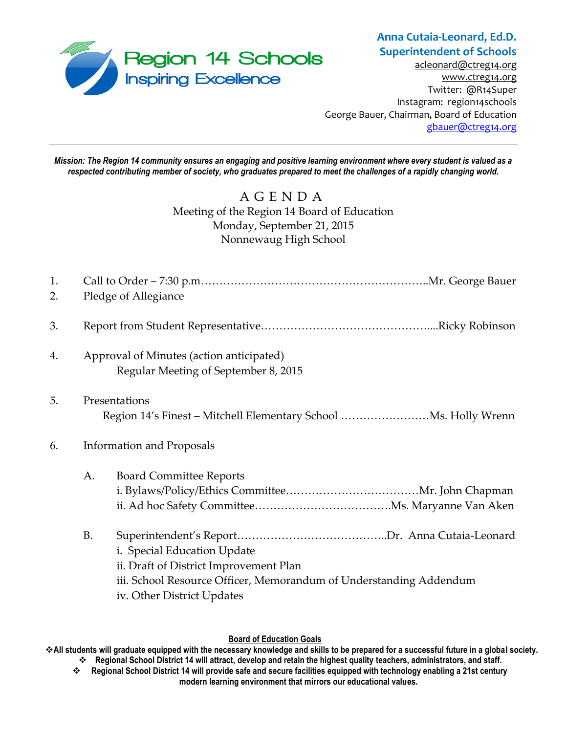

# **Anna Cutaia-Leonard, Ed.D. Superintendent of Schools**

[acleonard@ctreg14.org](mailto:acleonard@ctreg14.org) [www.ctreg14.org](http://www.ctreg14.org/) Twitter: @R14Super Instagram: region14schools George Bauer, Chairman, Board of Education [gbauer@ctreg14.org](mailto:gbauer@ctreg14.org)

*Mission: The Region 14 community ensures an engaging and positive learning environment where every student is valued as a respected contributing member of society, who graduates prepared to meet the challenges of a rapidly changing world.*

# A G E N D A Meeting of the Region 14 Board of Education Monday, September 21, 2015 Nonnewaug High School

| 1.<br>2. |                                  | Pledge of Allegiance                                                                             |  |  |
|----------|----------------------------------|--------------------------------------------------------------------------------------------------|--|--|
|          |                                  |                                                                                                  |  |  |
| 3.       |                                  |                                                                                                  |  |  |
| 4.       |                                  | Approval of Minutes (action anticipated)                                                         |  |  |
|          |                                  | Regular Meeting of September 8, 2015                                                             |  |  |
| 5.       | Presentations                    |                                                                                                  |  |  |
|          |                                  |                                                                                                  |  |  |
| 6.       | <b>Information and Proposals</b> |                                                                                                  |  |  |
|          | A.                               | <b>Board Committee Reports</b>                                                                   |  |  |
|          |                                  |                                                                                                  |  |  |
|          |                                  |                                                                                                  |  |  |
|          | <b>B.</b>                        |                                                                                                  |  |  |
|          |                                  | i. Special Education Update                                                                      |  |  |
|          |                                  | ii. Draft of District Improvement Plan                                                           |  |  |
|          |                                  | iii. School Resource Officer, Memorandum of Understanding Addendum<br>iv. Other District Updates |  |  |
|          |                                  |                                                                                                  |  |  |

#### **Board of Education Goals**

**All students will graduate equipped with the necessary knowledge and skills to be prepared for a successful future in a global society. Regional School District 14 will attract, develop and retain the highest quality teachers, administrators, and staff.**

 **Regional School District 14 will provide safe and secure facilities equipped with technology enabling a 21st century modern learning environment that mirrors our educational values.**